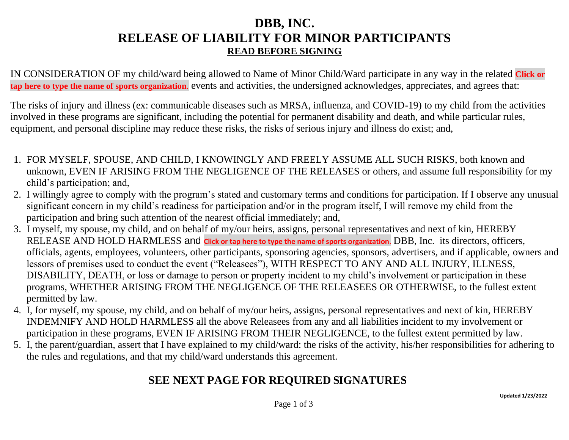# **DBB, INC. RELEASE OF LIABILITY FOR MINOR PARTICIPANTS READ BEFORE SIGNING**

IN CONSIDERATION OF my child/ward being allowed to Name of Minor Child/Ward participate in any way in the related **Click or tap here to type the name of sports organization**. events and activities, the undersigned acknowledges, appreciates, and agrees that:

The risks of injury and illness (ex: communicable diseases such as MRSA, influenza, and COVID-19) to my child from the activities involved in these programs are significant, including the potential for permanent disability and death, and while particular rules, equipment, and personal discipline may reduce these risks, the risks of serious injury and illness do exist; and,

- 1. FOR MYSELF, SPOUSE, AND CHILD, I KNOWINGLY AND FREELY ASSUME ALL SUCH RISKS, both known and unknown, EVEN IF ARISING FROM THE NEGLIGENCE OF THE RELEASES or others, and assume full responsibility for my child's participation; and,
- 2. I willingly agree to comply with the program's stated and customary terms and conditions for participation. If I observe any unusual significant concern in my child's readiness for participation and/or in the program itself, I will remove my child from the participation and bring such attention of the nearest official immediately; and,
- 3. I myself, my spouse, my child, and on behalf of my/our heirs, assigns, personal representatives and next of kin, HEREBY RELEASE AND HOLD HARMLESS and **Click or tap here to type the name of sports organization**. DBB, Inc. its directors, officers, officials, agents, employees, volunteers, other participants, sponsoring agencies, sponsors, advertisers, and if applicable, owners and lessors of premises used to conduct the event ("Releasees"), WITH RESPECT TO ANY AND ALL INJURY, ILLNESS, DISABILITY, DEATH, or loss or damage to person or property incident to my child's involvement or participation in these programs, WHETHER ARISING FROM THE NEGLIGENCE OF THE RELEASEES OR OTHERWISE, to the fullest extent permitted by law.
- 4. I, for myself, my spouse, my child, and on behalf of my/our heirs, assigns, personal representatives and next of kin, HEREBY INDEMNIFY AND HOLD HARMLESS all the above Releasees from any and all liabilities incident to my involvement or participation in these programs, EVEN IF ARISING FROM THEIR NEGLIGENCE, to the fullest extent permitted by law.
- 5. I, the parent/guardian, assert that I have explained to my child/ward: the risks of the activity, his/her responsibilities for adhering to the rules and regulations, and that my child/ward understands this agreement.

## **SEE NEXT PAGE FOR REQUIRED SIGNATURES**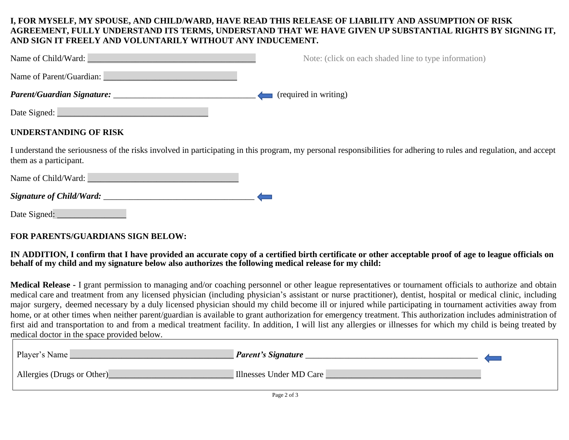#### **I, FOR MYSELF, MY SPOUSE, AND CHILD/WARD, HAVE READ THIS RELEASE OF LIABILITY AND ASSUMPTION OF RISK AGREEMENT, FULLY UNDERSTAND ITS TERMS, UNDERSTAND THAT WE HAVE GIVEN UP SUBSTANTIAL RIGHTS BY SIGNING IT, AND SIGN IT FREELY AND VOLUNTARILY WITHOUT ANY INDUCEMENT.**

| Name of Child/Ward:      | Note: (click on each shaded line to type information) |
|--------------------------|-------------------------------------------------------|
| Name of Parent/Guardian: |                                                       |
|                          | (required in writing)                                 |
| Date Signed:             |                                                       |

### **UNDERSTANDING OF RISK**

I understand the seriousness of the risks involved in participating in this program, my personal responsibilities for adhering to rules and regulation, and accept them as a participant.

Name of Child/Ward:

| <b>Signature of Child/Ward:</b> |  |
|---------------------------------|--|
|---------------------------------|--|

Date Signed:

#### **FOR PARENTS/GUARDIANS SIGN BELOW:**

#### IN ADDITION, I confirm that I have provided an accurate copy of a certified birth certificate or other acceptable proof of age to league officials on **behalf of my child and my signature below also authorizes the following medical release for my child:**

**Medical Release -** I grant permission to managing and/or coaching personnel or other league representatives or tournament officials to authorize and obtain medical care and treatment from any licensed physician (including physician's assistant or nurse practitioner), dentist, hospital or medical clinic, including major surgery, deemed necessary by a duly licensed physician should my child become ill or injured while participating in tournament activities away from home, or at other times when neither parent/guardian is available to grant authorization for emergency treatment. This authorization includes administration of first aid and transportation to and from a medical treatment facility. In addition, I will list any allergies or illnesses for which my child is being treated by medical doctor in the space provided below.

| Player's Name<br>Parent's Signature                   |  |
|-------------------------------------------------------|--|
| Allergies (Drugs or Other)<br>Illnesses Under MD Care |  |
| Page 2 of 3                                           |  |